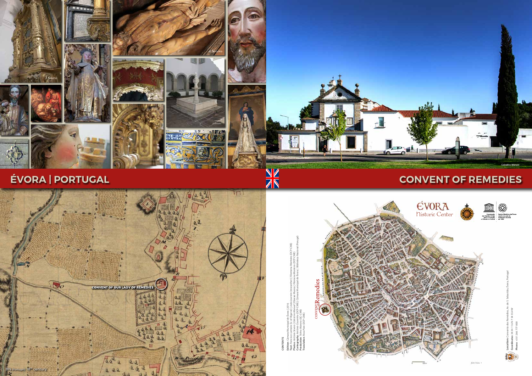



**ÉVORA | PORTUGAL**





**Translation**: *Rosa Paes* (DCP-CME)



# **CONVENT OF REMEDIES**